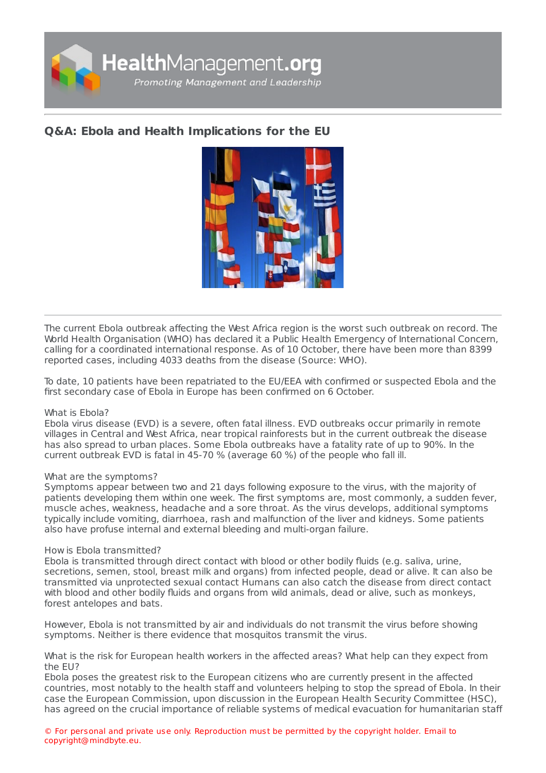

# **Q&A: Ebola and Health [Implications](https://healthmanagement.org/s/q-a-ebola-and-health-implications-for-the-eu) for the EU**



The current Ebola outbreak affecting the West Africa region is the worst such outbreak on record. The World Health Organisation (WHO) has declared it a Public Health Emergency of International Concern, calling for a coordinated international response. As of 10 October, there have been more than 8399 reported cases, including 4033 deaths from the disease (Source: WHO).

To date, 10 patients have been repatriated to the EU/EEA with confirmed or suspected Ebola and the first secondary case of Ebola in Europe has been confirmed on 6 October.

## What is Ebola?

Ebola virus disease (EVD) is a severe, often fatal illness. EVD outbreaks occur primarily in remote villages in Central and West Africa, near tropical rainforests but in the current outbreak the disease has also spread to urban places. Some Ebola outbreaks have a fatality rate of up to 90%. In the current outbreak EVD is fatal in 45-70 % (average 60 %) of the people who fall ill.

## What are the symptoms?

Symptoms appear between two and 21 days following exposure to the virus, with the majority of patients developing them within one week. The first symptoms are, most commonly, a sudden fever, muscle aches, weakness, headache and a sore throat. As the virus develops, additional symptoms typically include vomiting, diarrhoea, rash and malfunction of the liver and kidneys. Some patients also have profuse internal and external bleeding and multi-organ failure.

## How is Ebola transmitted?

Ebola is transmitted through direct contact with blood or other bodily fluids (e.g. saliva, urine, secretions, semen, stool, breast milk and organs) from infected people, dead or alive. It can also be transmitted via unprotected sexual contact Humans can also catch the disease from direct contact with blood and other bodily fluids and organs from wild animals, dead or alive, such as monkeys, forest antelopes and bats.

However, Ebola is not transmitted by air and individuals do not transmit the virus before showing symptoms. Neither is there evidence that mosquitos transmit the virus.

What is the risk for European health workers in the affected areas? What help can they expect from the EU?

Ebola poses the greatest risk to the European citizens who are currently present in the affected countries, most notably to the health staff and volunteers helping to stop the spread of Ebola. In their case the European Commission, upon discussion in the European Health Security Committee (HSC), has agreed on the crucial importance of reliable systems of medical evacuation for humanitarian staff

© For personal and private use only. Reproduction must be permitted by the copyright holder. Email to copyright@mindbyte.eu.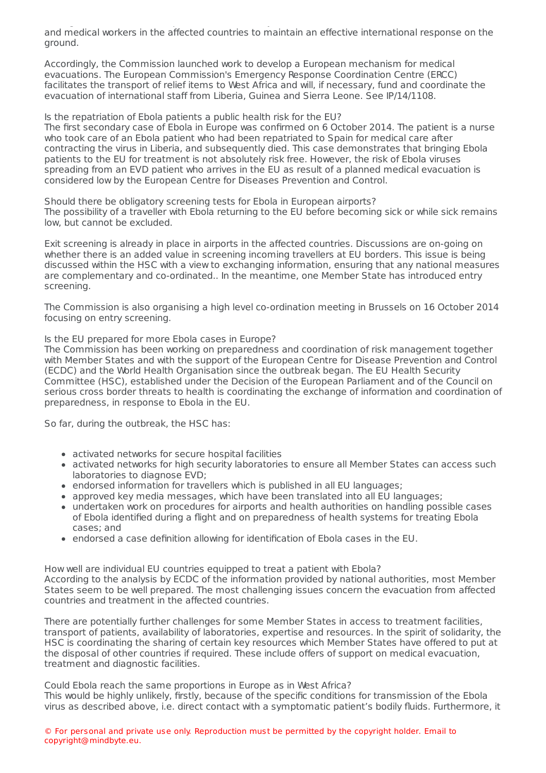has agreed on the crucial importance of reliable systems of medical evacuation for humanitarian staff and medical workers in the affected countries to maintain an effective international response on the ground.

Accordingly, the Commission launched work to develop a European mechanism for medical evacuations. The European Commission's Emergency Response Coordination Centre (ERCC) facilitates the transport of relief items to West Africa and will, if necessary, fund and coordinate the evacuation of international staff from Liberia, Guinea and Sierra Leone. See IP/14/1108.

Is the repatriation of Ebola patients a public health risk for the EU?

The first secondary case of Ebola in Europe was confirmed on 6 October 2014. The patient is a nurse who took care of an Ebola patient who had been repatriated to Spain for medical care after contracting the virus in Liberia, and subsequently died. This case demonstrates that bringing Ebola patients to the EU for treatment is not absolutely risk free. However, the risk of Ebola viruses spreading from an EVD patient who arrives in the EU as result of a planned medical evacuation is considered low by the European Centre for Diseases Prevention and Control.

Should there be obligatory screening tests for Ebola in European airports? The possibility of a traveller with Ebola returning to the EU before becoming sick or while sick remains low, but cannot be excluded.

Exit screening is already in place in airports in the affected countries. Discussions are on-going on whether there is an added value in screening incoming travellers at EU borders. This issue is being discussed within the HSC with a view to exchanging information, ensuring that any national measures are complementary and co-ordinated.. In the meantime, one Member State has introduced entry screening.

The Commission is also organising a high level co-ordination meeting in Brussels on 16 October 2014 focusing on entry screening.

### Is the EU prepared for more Ebola cases in Europe?

The Commission has been working on preparedness and coordination of risk management together with Member States and with the support of the European Centre for Disease Prevention and Control (ECDC) and the World Health Organisation since the outbreak began. The EU Health Security Committee (HSC), established under the Decision of the European Parliament and of the Council on serious cross border threats to health is coordinating the exchange of information and coordination of preparedness, in response to Ebola in the EU.

So far, during the outbreak, the HSC has:

- activated networks for secure hospital facilities
- activated networks for high security laboratories to ensure all Member States can access such laboratories to diagnose EVD;
- endorsed information for travellers which is published in all EU languages;
- approved key media messages, which have been translated into all EU languages;
- undertaken work on procedures for airports and health authorities on handling possible cases of Ebola identified during a flight and on preparedness of health systems for treating Ebola cases; and
- endorsed a case definition allowing for identification of Ebola cases in the EU.

How well are individual EU countries equipped to treat a patient with Ebola? According to the analysis by ECDC of the information provided by national authorities, most Member States seem to be well prepared. The most challenging issues concern the evacuation from affected countries and treatment in the affected countries.

There are potentially further challenges for some Member States in access to treatment facilities, transport of patients, availability of laboratories, expertise and resources. In the spirit of solidarity, the HSC is coordinating the sharing of certain key resources which Member States have offered to put at the disposal of other countries if required. These include offers of support on medical evacuation, treatment and diagnostic facilities.

Could Ebola reach the same proportions in Europe as in West Africa? This would be highly unlikely, firstly, because of the specific conditions for transmission of the Ebola virus as described above, i.e. direct contact with a symptomatic patient's bodily fluids. Furthermore, it

© For personal and private use only. Reproduction must be permitted by the copyright holder. Email to copyright@mindbyte.eu.